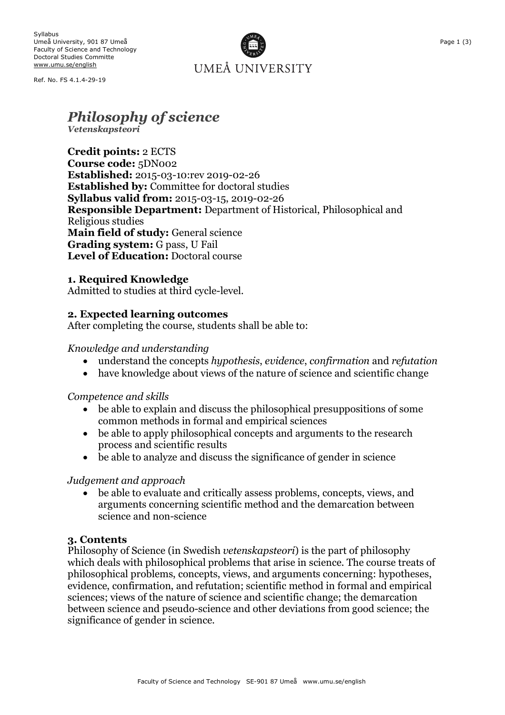Ref. No. FS 4.1.4-29-19

UMEÅ UNIVERSITY

# *Philosophy of science*

*Vetenskapsteori*

**Credit points:** 2 ECTS **Course code:** 5DN002 **Established:** 2015-03-10:rev 2019-02-26 **Established by:** Committee for doctoral studies **Syllabus valid from:** 2015-03-15, 2019-02-26 **Responsible Department:** Department of Historical, Philosophical and Religious studies **Main field of study:** General science **Grading system:** G pass, U Fail **Level of Education:** Doctoral course

### **1. Required Knowledge**

Admitted to studies at third cycle-level.

### **2. Expected learning outcomes**

After completing the course, students shall be able to:

### *Knowledge and understanding*

- understand the concepts *hypothesis*, *evidence*, *confirmation* and *refutation*
- have knowledge about views of the nature of science and scientific change

### *Competence and skills*

- be able to explain and discuss the philosophical presuppositions of some common methods in formal and empirical sciences
- be able to apply philosophical concepts and arguments to the research process and scientific results
- be able to analyze and discuss the significance of gender in science

### *Judgement and approach*

• be able to evaluate and critically assess problems, concepts, views, and arguments concerning scientific method and the demarcation between science and non-science

### **3. Contents**

Philosophy of Science (in Swedish *vetenskapsteori*) is the part of philosophy which deals with philosophical problems that arise in science. The course treats of philosophical problems, concepts, views, and arguments concerning: hypotheses, evidence, confirmation, and refutation; scientific method in formal and empirical sciences; views of the nature of science and scientific change; the demarcation between science and pseudo-science and other deviations from good science; the significance of gender in science.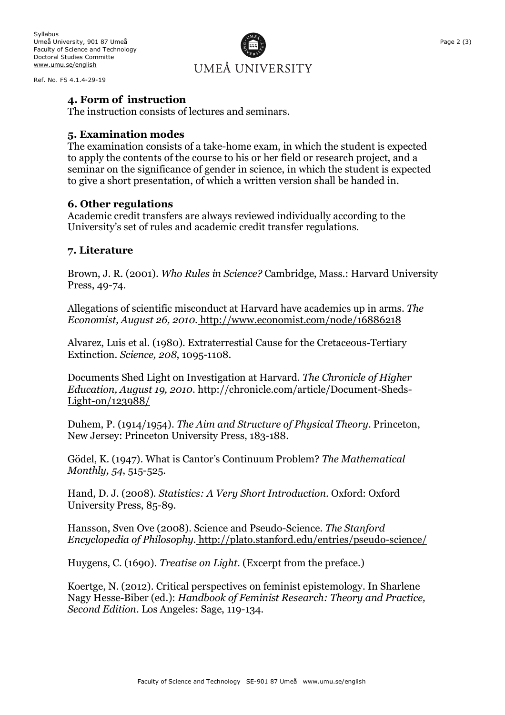Ref. No. FS 4.1.4-29-19

# UMEÅ UNIVERSITY

## **4. Form of instruction**

The instruction consists of lectures and seminars.

### **5. Examination modes**

The examination consists of a take-home exam, in which the student is expected to apply the contents of the course to his or her field or research project, and a seminar on the significance of gender in science, in which the student is expected to give a short presentation, of which a written version shall be handed in.

#### **6. Other regulations**

Academic credit transfers are always reviewed individually according to the University's set of rules and academic credit transfer regulations.

### **7. Literature**

Brown, J. R. (2001). *Who Rules in Science?* Cambridge, Mass.: Harvard University Press, 49-74.

Allegations of scientific misconduct at Harvard have academics up in arms. *The Economist, August 26, 2010*. http://www.economist.com/node/16886218

Alvarez, Luis et al. (1980). Extraterrestial Cause for the Cretaceous-Tertiary Extinction. *Science, 208*, 1095-1108.

Documents Shed Light on Investigation at Harvard. *The Chronicle of Higher Education, August 19, 2010*. http://chronicle.com/article/Document-Sheds-Light-on/123988/

Duhem, P. (1914/1954). *The Aim and Structure of Physical Theory*. Princeton, New Jersey: Princeton University Press, 183-188.

Gödel, K. (1947). What is Cantor's Continuum Problem? *The Mathematical Monthly, 54*, 515-525.

Hand, D. J. (2008). *Statistics: A Very Short Introduction*. Oxford: Oxford University Press, 85-89.

Hansson, Sven Ove (2008). Science and Pseudo-Science. *The Stanford Encyclopedia of Philosophy*. http://plato.stanford.edu/entries/pseudo-science/

Huygens, C. (1690). *Treatise on Light*. (Excerpt from the preface.)

Koertge, N. (2012). Critical perspectives on feminist epistemology. In Sharlene Nagy Hesse-Biber (ed.): *Handbook of Feminist Research: Theory and Practice, Second Edition*. Los Angeles: Sage, 119-134.